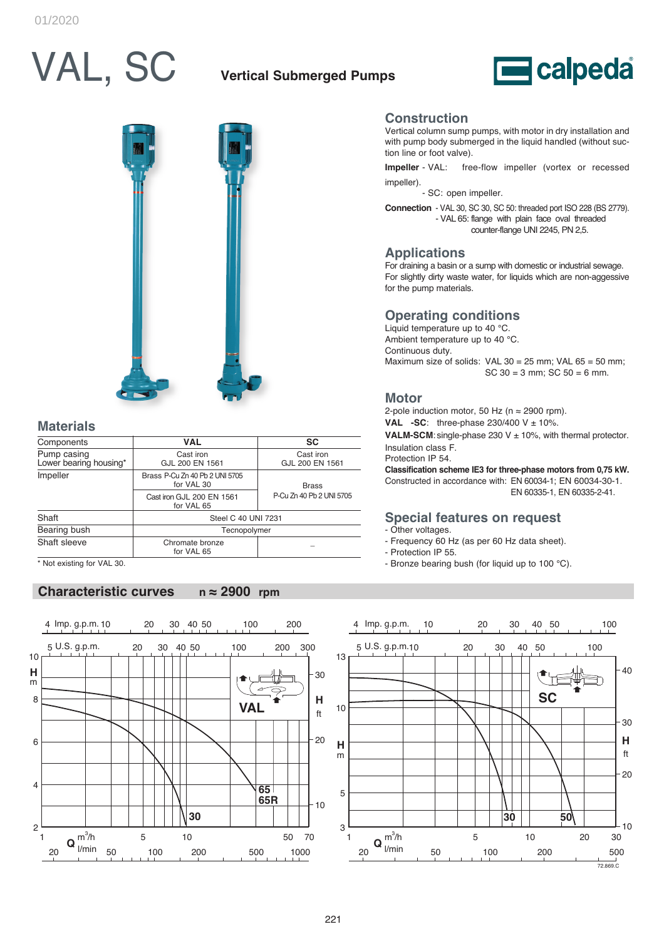# VAL, SC

# **Vertical Submerged Pumps**





## **Materials**

| Components                            | <b>VAL</b>                                   | <b>SC</b>                    |  |  |  |  |
|---------------------------------------|----------------------------------------------|------------------------------|--|--|--|--|
| Pump casing<br>Lower bearing housing* | Cast iron<br>GJL 200 EN 1561                 | Cast iron<br>GJL 200 EN 1561 |  |  |  |  |
| Impeller                              | Brass P-Cu Zn 40 Pb 2 UNI 5705<br>for VAL 30 | <b>Brass</b>                 |  |  |  |  |
|                                       | Cast iron GJL 200 EN 1561<br>for VAL 65      | P-Cu Zn 40 Pb 2 UNI 5705     |  |  |  |  |
| Shaft                                 | Steel C 40 UNI 7231                          |                              |  |  |  |  |
| Bearing bush                          | Tecnopolymer                                 |                              |  |  |  |  |
| Shaft sleeve                          | Chromate bronze<br>for VAL 65                |                              |  |  |  |  |

\* Not existing for VAL 30.

## **Characteristic curves n ≈ 2900 rpm**



#### **Construction**

Vertical column sump pumps, with motor in dry installation and with pump body submerged in the liquid handled (without suction line or foot valve).

**Impeller** - VAL: free-flow impeller (vortex or recessed impeller).

- SC: open impeller.

**Connection** - VAL 30, SC 30, SC 50: threaded port ISO 228 (BS 2779). - VAL 65: flange with plain face oval threaded counter-flange UNI 2245, PN 2,5.

#### **Applications**

For draining a basin or a sump with domestic or industrial sewage. For slightly dirty waste water, for liquids which are non-aggessive for the pump materials.

## **Operating conditions**

Liquid temperature up to 40 °C. Ambient temperature up to 40 °C. Continuous duty. Maximum size of solids: VAL 30 = 25 mm; VAL 65 = 50 mm; SC 30 = 3 mm; SC 50 = 6 mm.

### **Motor**

2-pole induction motor, 50 Hz ( $n \approx 2900$  rpm).

**VAL** -SC: three-phase  $230/400 \text{ V} \pm 10\%$ .

**VALM-SCM**: single-phase 230 V ± 10%, with thermal protector. Insulation class F.

Protection IP 54.

**Classification scheme IE3 for three-phase motors from 0,75 kW.** Constructed in accordance with: EN 60034-1; EN 60034-30-1. EN 60335-1, EN 60335-2-41.

### **Special features on request**

- Other voltages.

- Frequency 60 Hz (as per 60 Hz data sheet).
- Protection IP 55.
- Bronze bearing bush (for liquid up to 100 °C).

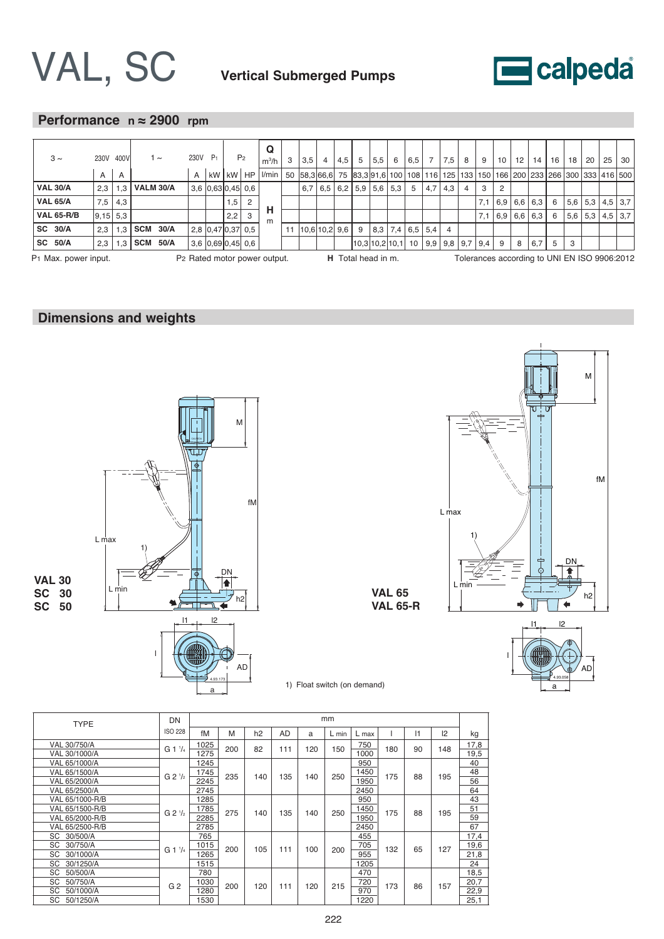



# **Performance n ≈ 2900 rpm**

|                                                                                        |                |     |                  |      |      |                |                     |                | Q                                                                                                                                 |   |     |               |     |    |                                              |   |                         |                |                               |                |   |           |    |           |                |     |     |           |           |
|----------------------------------------------------------------------------------------|----------------|-----|------------------|------|------|----------------|---------------------|----------------|-----------------------------------------------------------------------------------------------------------------------------------|---|-----|---------------|-----|----|----------------------------------------------|---|-------------------------|----------------|-------------------------------|----------------|---|-----------|----|-----------|----------------|-----|-----|-----------|-----------|
| $3 \sim$                                                                               | 230V 400V      |     |                  | 1 ~  | 230V | P <sub>1</sub> |                     | P <sub>2</sub> | $m^3/h$                                                                                                                           | 3 | 3.5 | 4             | 4.5 | 5  | 5,5                                          | 6 | 6,5                     | $\overline{7}$ | 7.5                           | 8              | 9 | 10        | 12 | 14        | 16             | 18  | 20  | 25        | 30        |
|                                                                                        | $\overline{A}$ | A   |                  |      | A    | kW             |                     |                | kW   HP   I/min   50  58,3 66,6  75  83,3 91,6  100   108   116   125   133   150   166   200   233   266   300   333   416   500 |   |     |               |     |    |                                              |   |                         |                |                               |                |   |           |    |           |                |     |     |           |           |
| <b>VAL 30/A</b>                                                                        | 2.3            | 1.3 | <b>VALM 30/A</b> |      |      |                | $3,6$ 0.63 0.45 0.6 |                |                                                                                                                                   |   | 6.7 | 6,5           | 6,2 |    | $5.9$ 5.6 5.3                                |   | 5                       |                | $4,7$   $4,3$                 | $\overline{4}$ | 3 | 2         |    |           |                |     |     |           |           |
| <b>VAL 65/A</b>                                                                        | 7.5            | 4.3 |                  |      |      |                | 1,5                 | 2              |                                                                                                                                   |   |     |               |     |    |                                              |   |                         |                |                               |                |   | $7,1$ 6.9 |    | $6.6$ 6.3 | 6              | 5,6 | 5,3 | $4.5$ 3.7 |           |
| <b>VAL 65-R/B</b>                                                                      | $ 9,15 $ 5.3   |     |                  |      |      |                | 2,2                 | 3              | н<br>m                                                                                                                            |   |     |               |     |    |                                              |   |                         |                |                               |                |   | $7,1$ 6.9 |    | $6.6$ 6.3 | 6              | 5,6 | 5,3 |           | $4,5$ 3.7 |
| SC 30/A                                                                                | 2.3            | 1.3 | <b>SCM 30/A</b>  |      |      |                | 2,8 0,47 0,37 0,5   |                |                                                                                                                                   |   |     | 10,6 10,2 9,6 |     | -9 |                                              |   | $8.3$   7.4   6.5   5.4 |                |                               |                |   |           |    |           |                |     |     |           |           |
| <b>SC 50/A</b>                                                                         | 2,3            | 1.3 | <b>SCM</b>       | 50/A |      |                | $3.6$ 0.69 0.45 0.6 |                |                                                                                                                                   |   |     |               |     |    | 10,3 10,2 10,1                               |   | 10                      |                | $9,9$   $9,8$   $9,7$   $9,4$ |                |   | 9         | 8  | 6,7       | 5 <sup>5</sup> | 3   |     |           |           |
| P1 Max. power input.<br>H Total head in m.<br>P <sub>2</sub> Rated motor power output. |                |     |                  |      |      |                |                     |                |                                                                                                                                   |   |     |               |     |    | Tolerances according to UNI EN ISO 9906:2012 |   |                         |                |                               |                |   |           |    |           |                |     |     |           |           |

# **Dimensions and weights**







|  |  |  |  | 1) Float switch (on demand) |
|--|--|--|--|-----------------------------|
|--|--|--|--|-----------------------------|

**VAL 65 VAL 65-R**

| <b>TYPE</b>     | DN                  | mm   |     |     |           |     |         |       |     |           |             |      |
|-----------------|---------------------|------|-----|-----|-----------|-----|---------|-------|-----|-----------|-------------|------|
|                 | <b>ISO 228</b>      | fM   | M   | h2  | <b>AD</b> | a   | $L$ min | L max |     | $\vert$ 1 | $ 2\rangle$ | kg   |
| VAL 30/750/A    | $G1^{1/4}$          | 1025 | 200 | 82  | 111       | 120 | 150     | 750   |     | 90        | 148         | 17,8 |
| VAL 30/1000/A   |                     | 1275 |     |     |           |     |         | 1000  | 180 |           |             | 19,5 |
| VAL 65/1000/A   | G 2 <sup>1</sup> /2 | 1245 | 235 | 140 | 135       | 140 | 250     | 950   | 175 | 88        | 195         | 40   |
| VAL 65/1500/A   |                     | 1745 |     |     |           |     |         | 1450  |     |           |             | 48   |
| VAL 65/2000/A   |                     | 2245 |     |     |           |     |         | 1950  |     |           |             | 56   |
| VAL 65/2500/A   |                     | 2745 |     |     |           |     |         | 2450  |     |           |             | 64   |
| VAL 65/1000-R/B | G 2 <sup>1</sup> /2 | 1285 | 275 | 140 | 135       | 140 |         | 950   | 175 | 88        | 195         | 43   |
| VAL 65/1500-R/B |                     | 1785 |     |     |           |     | 250     | 1450  |     |           |             | 51   |
| VAL 65/2000-R/B |                     | 2285 |     |     |           |     |         | 1950  |     |           |             | 59   |
| VAL 65/2500-R/B |                     | 2785 |     |     |           |     |         | 2450  |     |           |             | 67   |
| SC 30/500/A     |                     | 765  |     | 105 | 111       | 100 | 200     | 455   | 132 |           | 127         | 17,4 |
| 30/750/A<br>SC  | $G1^{1/4}$          | 1015 | 200 |     |           |     |         | 705   |     | 65        |             | 19,6 |
| SC<br>30/1000/A |                     | 1265 |     |     |           |     |         | 955   |     |           |             | 21,8 |
| SC<br>30/1250/A |                     | 1515 |     |     |           |     |         | 1205  |     |           |             | 24   |
| SC<br>50/500/A  | G <sub>2</sub>      | 780  |     | 120 |           |     |         | 470   | 173 |           |             | 18,5 |
| 50/750/A<br>SC  |                     | 1030 | 200 |     | 111       | 120 | 215     | 720   |     | 86        | 157         | 20,7 |
| 50/1000/A<br>SC |                     | 1280 |     |     |           |     |         | 970   |     |           |             | 22,9 |
| SC<br>50/1250/A |                     | 1530 |     |     |           |     |         | 1220  |     |           |             | 25,1 |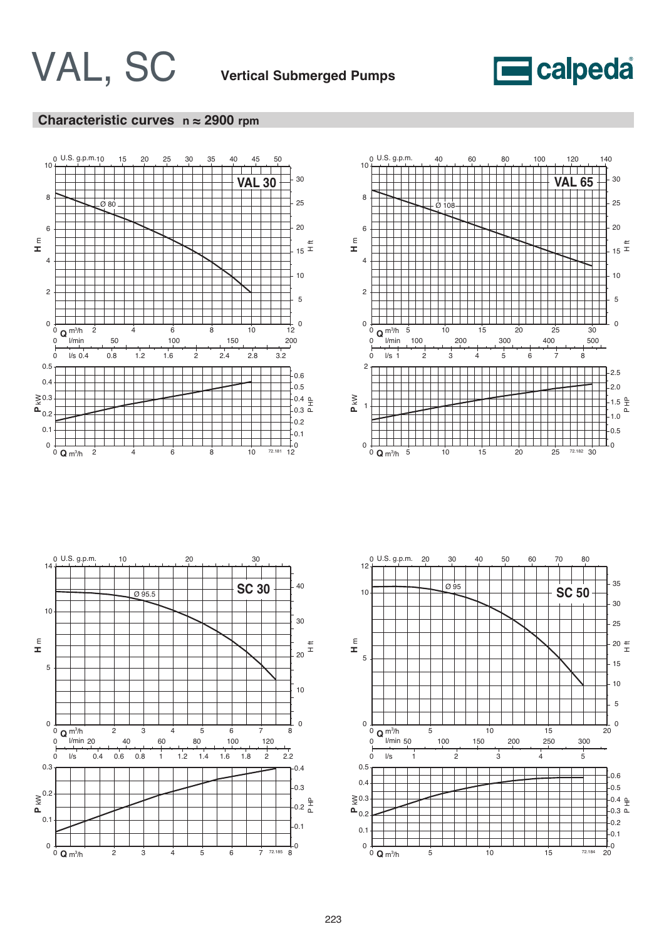

## **Characteristic curves n ≈ 2900 rpm**